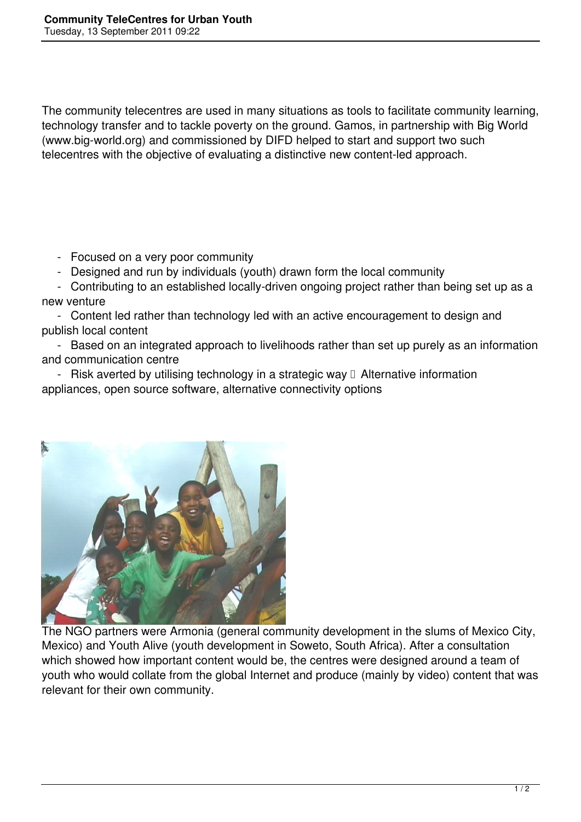The community telecentres are used in many situations as tools to facilitate community learning, technology transfer and to tackle poverty on the ground. Gamos, in partnership with Big World (www.big-world.org) and commissioned by DIFD helped to start and support two such telecentres with the objective of evaluating a distinctive new content-led approach.

- Focused on a very poor community

- Designed and run by individuals (youth) drawn form the local community

 - Contributing to an established locally-driven ongoing project rather than being set up as a new venture

 - Content led rather than technology led with an active encouragement to design and publish local content

 - Based on an integrated approach to livelihoods rather than set up purely as an information and communication centre

- Risk averted by utilising technology in a strategic way  $\Box$  Alternative information appliances, open source software, alternative connectivity options



The NGO partners were Armonia (general community development in the slums of Mexico City, Mexico) and Youth Alive (youth development in Soweto, South Africa). After a consultation which showed how important content would be, the centres were designed around a team of youth who would collate from the global Internet and produce (mainly by video) content that was relevant for their own community.